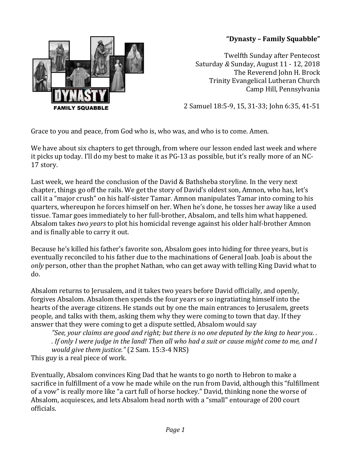## **"Dynasty – Family Squabble"**



Twelfth Sunday after Pentecost Saturday *&* Sunday, August 11 - 12, 2018 The Reverend John H. Brock Trinity Evangelical Lutheran Church Camp Hill, Pennsylvania

2 Samuel 18:5-9, 15, 31-33; John 6:35, 41-51

Grace to you and peace, from God who is, who was, and who is to come. Amen.

We have about six chapters to get through, from where our lesson ended last week and where it picks up today. I'll do my best to make it as PG-13 as possible, but it's really more of an NC-17 story.

Last week, we heard the conclusion of the David & Bathsheba storyline. In the very next chapter, things go off the rails. We get the story of David's oldest son, Amnon, who has, let's call it a "major crush" on his half-sister Tamar. Amnon manipulates Tamar into coming to his quarters, whereupon he forces himself on her. When he's done, he tosses her away like a used tissue. Tamar goes immediately to her full-brother, Absalom, and tells him what happened. Absalom takes *two years* to plot his homicidal revenge against his older half-brother Amnon and is finally able to carry it out.

Because he's killed his father's favorite son, Absalom goes into hiding for three years, but is eventually reconciled to his father due to the machinations of General Joab. Joab is about the *only* person, other than the prophet Nathan, who can get away with telling King David what to do.

Absalom returns to Jerusalem, and it takes two years before David officially, and openly, forgives Absalom. Absalom then spends the four years or so ingratiating himself into the hearts of the average citizens. He stands out by one the main entrances to Jerusalem, greets people, and talks with them, asking them why they were coming to town that day. If they answer that they were coming to get a dispute settled, Absalom would say

*"See, your claims are good and right; but there is no one deputed by the king to hear you. . . If only I were judge in the land! Then all who had a suit or cause might come to me, and I would give them justice."* (2 Sam. 15:3-4 NRS) This guy is a real piece of work.

Eventually, Absalom convinces King Dad that he wants to go north to Hebron to make a sacrifice in fulfillment of a vow he made while on the run from David, although this "fulfillment of a vow" is really more like "a cart full of horse hockey." David, thinking none the worse of Absalom, acquiesces, and lets Absalom head north with a "small" entourage of 200 court officials.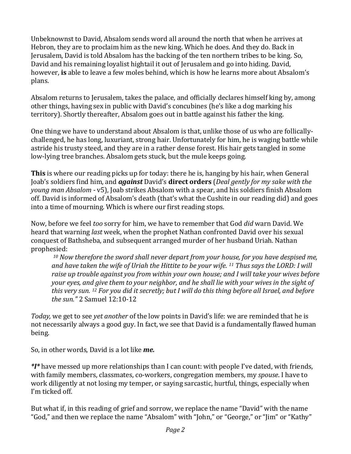Unbeknownst to David, Absalom sends word all around the north that when he arrives at Hebron, they are to proclaim him as the new king. Which he does. And they do. Back in Jerusalem, David is told Absalom has the backing of the ten northern tribes to be king. So, David and his remaining loyalist hightail it out of Jerusalem and go into hiding. David, however, **is** able to leave a few moles behind, which is how he learns more about Absalom's plans.

Absalom returns to Jerusalem, takes the palace, and officially declares himself king by, among other things, having sex in public with David's concubines (he's like a dog marking his territory). Shortly thereafter, Absalom goes out in battle against his father the king.

One thing we have to understand about Absalom is that, unlike those of us who are follicallychallenged, he has long, luxuriant, strong hair. Unfortunately for him, he is waging battle while astride his trusty steed, and they are in a rather dense forest. His hair gets tangled in some low-lying tree branches. Absalom gets stuck, but the mule keeps going.

**This** is where our reading picks up for today: there he is, hanging by his hair, when General Joab's soldiers find him, and *against* David's **direct orders** (*Deal gently for my sake with the young man Absalom -* v5), Joab strikes Absalom with a spear, and his soldiers finish Absalom off. David is informed of Absalom's death (that's what the Cushite in our reading did) and goes into a time of mourning. Which is where our first reading stops.

Now, before we feel *too* sorry for him, we have to remember that God *did* warn David. We heard that warning *last* week, when the prophet Nathan confronted David over his sexual conquest of Bathsheba, and subsequent arranged murder of her husband Uriah. Nathan prophesied:

*<sup>10</sup> Now therefore the sword shall never depart from your house, for you have despised me, and have taken the wife of Uriah the Hittite to be your wife. <sup>11</sup> Thus says the LORD: I will raise up trouble against you from within your own house; and I will take your wives before your eyes, and give them to your neighbor, and he shall lie with your wives in the sight of this very sun. <sup>12</sup> For you did it secretly; but I will do this thing before all Israel, and before the sun."* 2 Samuel 12:10-12

*Today,* we get to see *yet another* of the low points in David's life: we are reminded that he is not necessarily always a good guy. In fact, we see that David is a fundamentally flawed human being.

So, in other words, David is a lot like *me.*

*\*I\** have messed up more relationships than I can count: with people I've dated, with friends, with family members, classmates, co-workers, congregation members, my *spouse*. I have to work diligently at not losing my temper, or saying sarcastic, hurtful, things, especially when I'm ticked off.

But what if, in this reading of grief and sorrow, we replace the name "David" with the name "God," and then we replace the name "Absalom" with "John," or "George," or "Jim" or "Kathy"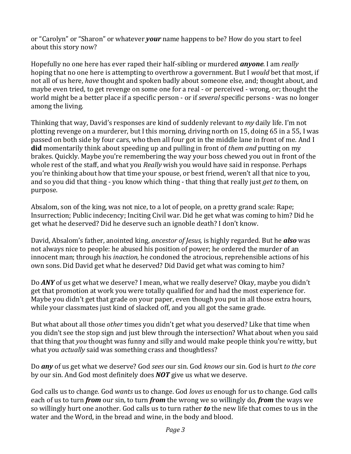or "Carolyn" or "Sharon" or whatever *your* name happens to be? How do you start to feel about this story now?

Hopefully no one here has ever raped their half-sibling or murdered *anyone*. I am *really*  hoping that no one here is attempting to overthrow a government. But I *would* bet that most, if not all of us here, *have* thought and spoken badly about someone else, and; thought about, and maybe even tried, to get revenge on some one for a real - or perceived - wrong, or; thought the world might be a better place if a specific person - or if *several* specific persons - was no longer among the living.

Thinking that way, David's responses are kind of suddenly relevant to *my* daily life. I'm not plotting revenge on a murderer, but I this morning, driving north on 15, doing 65 in a 55, I was passed on both side by four cars, who then all four got in the middle lane in front of me. And I **did** momentarily think about speeding up and pulling in front of *them and* putting on my brakes. Quickly. Maybe you're remembering the way your boss chewed you out in front of the whole rest of the staff, and what you *Really* wish you would have said in response. Perhaps you're thinking about how that time your spouse, or best friend, weren't all that nice to you, and so you did that thing - you know which thing - that thing that really just *get to* them, on purpose.

Absalom, son of the king, was not nice, to a lot of people, on a pretty grand scale: Rape; Insurrection; Public indecency; Inciting Civil war. Did he get what was coming to him? Did he get what he deserved? Did he deserve such an ignoble death? I don't know.

David, Absalom's father, anointed king, *ancestor of Jesus,* is highly regarded. But he *also* was not always nice to people: he abused his position of power; he ordered the murder of an innocent man; through his *inaction,* he condoned the atrocious, reprehensible actions of his own sons. Did David get what he deserved? Did David get what was coming to him?

Do *ANY* of us get what we deserve? I mean, what we really deserve? Okay, maybe you didn't get that promotion at work you were totally qualified for and had the most experience for. Maybe you didn't get that grade on your paper, even though you put in all those extra hours, while your classmates just kind of slacked off, and you all got the same grade.

But what about all those *other* times you didn't get what you deserved? Like that time when you didn't see the stop sign and just blew through the intersection? What about when you said that thing that *you* thought was funny and silly and would make people think you're witty, but what you *actually* said was something crass and thoughtless?

Do *any* of us get what we deserve? God *sees* our sin. God *knows* our sin. God is hurt *to the core*  by our sin. And God most definitely does *NOT* give us what we deserve.

God calls us to change. God *wants* us to change. God *loves us* enough for us to change. God calls each of us to turn *from* our sin, to turn *from* the wrong we so willingly do, *from* the ways we so willingly hurt one another. God calls us to turn rather *to* the new life that comes to us in the water and the Word, in the bread and wine, in the body and blood.